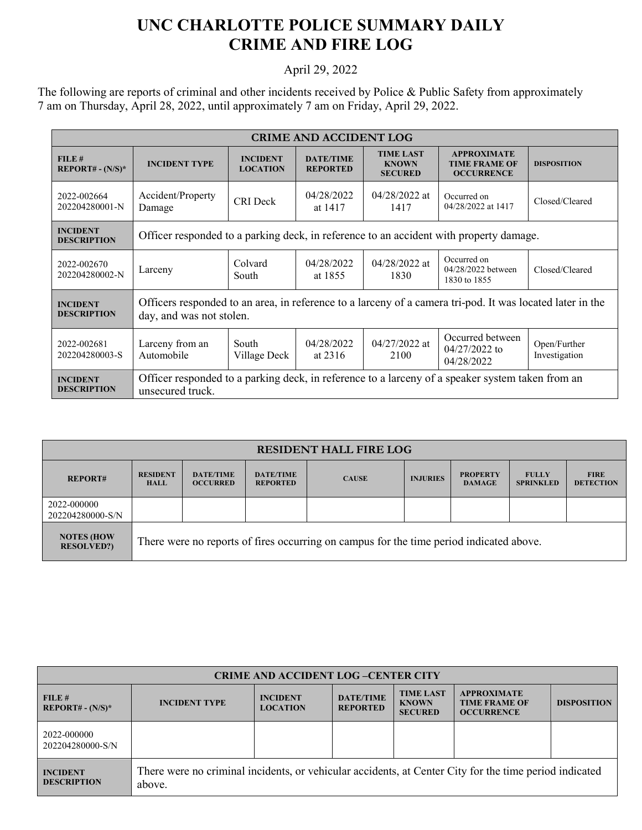## **UNC CHARLOTTE POLICE SUMMARY DAILY CRIME AND FIRE LOG**

## April 29, 2022

The following are reports of criminal and other incidents received by Police & Public Safety from approximately 7 am on Thursday, April 28, 2022, until approximately 7 am on Friday, April 29, 2022.

| <b>CRIME AND ACCIDENT LOG</b>         |                                                                                                                                       |                                    |                                     |                                                    |                                                                 |                               |  |
|---------------------------------------|---------------------------------------------------------------------------------------------------------------------------------------|------------------------------------|-------------------------------------|----------------------------------------------------|-----------------------------------------------------------------|-------------------------------|--|
| FILE#<br><b>REPORT#</b> - $(N/S)^*$   | <b>INCIDENT TYPE</b>                                                                                                                  | <b>INCIDENT</b><br><b>LOCATION</b> | <b>DATE/TIME</b><br><b>REPORTED</b> | <b>TIME LAST</b><br><b>KNOWN</b><br><b>SECURED</b> | <b>APPROXIMATE</b><br><b>TIME FRAME OF</b><br><b>OCCURRENCE</b> | <b>DISPOSITION</b>            |  |
| 2022-002664<br>202204280001-N         | Accident/Property<br>Damage                                                                                                           | <b>CRI</b> Deck                    | 04/28/2022<br>at 1417               | $04/28/2022$ at<br>1417                            | Occurred on<br>04/28/2022 at 1417                               | Closed/Cleared                |  |
| <b>INCIDENT</b><br><b>DESCRIPTION</b> | Officer responded to a parking deck, in reference to an accident with property damage.                                                |                                    |                                     |                                                    |                                                                 |                               |  |
| 2022-002670<br>202204280002-N         | Larceny                                                                                                                               | Colvard<br>South                   | 04/28/2022<br>at 1855               | $04/28/2022$ at<br>1830                            | Occurred on<br>04/28/2022 between<br>1830 to 1855               | Closed/Cleared                |  |
| <b>INCIDENT</b><br><b>DESCRIPTION</b> | Officers responded to an area, in reference to a larceny of a camera tri-pod. It was located later in the<br>day, and was not stolen. |                                    |                                     |                                                    |                                                                 |                               |  |
| 2022-002681<br>202204280003-S         | Larceny from an<br>Automobile                                                                                                         | South<br>Village Deck              | 04/28/2022<br>at $2316$             | $04/27/2022$ at<br>2100                            | Occurred between<br>$04/27/2022$ to<br>04/28/2022               | Open/Further<br>Investigation |  |
| <b>INCIDENT</b><br><b>DESCRIPTION</b> | Officer responded to a parking deck, in reference to a larceny of a speaker system taken from an<br>unsecured truck.                  |                                    |                                     |                                                    |                                                                 |                               |  |

| <b>RESIDENT HALL FIRE LOG</b>          |                                                                                         |                                     |                                     |              |                 |                                  |                                  |                                 |
|----------------------------------------|-----------------------------------------------------------------------------------------|-------------------------------------|-------------------------------------|--------------|-----------------|----------------------------------|----------------------------------|---------------------------------|
| <b>REPORT#</b>                         | <b>RESIDENT</b><br><b>HALL</b>                                                          | <b>DATE/TIME</b><br><b>OCCURRED</b> | <b>DATE/TIME</b><br><b>REPORTED</b> | <b>CAUSE</b> | <b>INJURIES</b> | <b>PROPERTY</b><br><b>DAMAGE</b> | <b>FULLY</b><br><b>SPRINKLED</b> | <b>FIRE</b><br><b>DETECTION</b> |
| 2022-000000<br>202204280000-S/N        |                                                                                         |                                     |                                     |              |                 |                                  |                                  |                                 |
| <b>NOTES (HOW</b><br><b>RESOLVED?)</b> | There were no reports of fires occurring on campus for the time period indicated above. |                                     |                                     |              |                 |                                  |                                  |                                 |

| <b>CRIME AND ACCIDENT LOG-CENTER CITY</b> |                                                                                                                  |                                    |                                     |                                                    |                                                                 |                    |
|-------------------------------------------|------------------------------------------------------------------------------------------------------------------|------------------------------------|-------------------------------------|----------------------------------------------------|-----------------------------------------------------------------|--------------------|
| FILE#<br>$REPORT# - (N/S)*$               | <b>INCIDENT TYPE</b>                                                                                             | <b>INCIDENT</b><br><b>LOCATION</b> | <b>DATE/TIME</b><br><b>REPORTED</b> | <b>TIME LAST</b><br><b>KNOWN</b><br><b>SECURED</b> | <b>APPROXIMATE</b><br><b>TIME FRAME OF</b><br><b>OCCURRENCE</b> | <b>DISPOSITION</b> |
| 2022-000000<br>202204280000-S/N           |                                                                                                                  |                                    |                                     |                                                    |                                                                 |                    |
| <b>INCIDENT</b><br><b>DESCRIPTION</b>     | There were no criminal incidents, or vehicular accidents, at Center City for the time period indicated<br>above. |                                    |                                     |                                                    |                                                                 |                    |